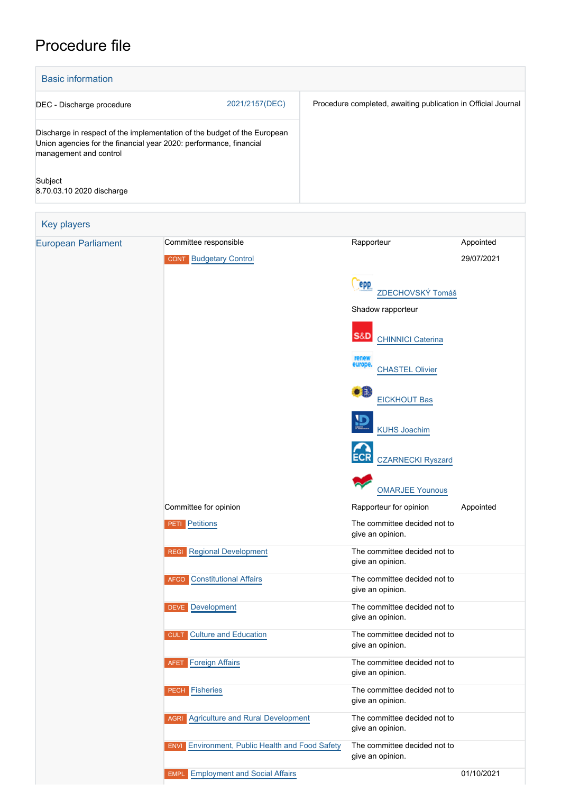## Procedure file

| <b>Basic information</b>             |                                                                                                                                                |                                                               |            |
|--------------------------------------|------------------------------------------------------------------------------------------------------------------------------------------------|---------------------------------------------------------------|------------|
| DEC - Discharge procedure            | 2021/2157(DEC)                                                                                                                                 | Procedure completed, awaiting publication in Official Journal |            |
| management and control               | Discharge in respect of the implementation of the budget of the European<br>Union agencies for the financial year 2020: performance, financial |                                                               |            |
| Subject<br>8.70.03.10 2020 discharge |                                                                                                                                                |                                                               |            |
| <b>Key players</b>                   |                                                                                                                                                |                                                               |            |
| <b>European Parliament</b>           | Committee responsible                                                                                                                          | Rapporteur                                                    | Appointed  |
|                                      | <b>CONT</b> Budgetary Control                                                                                                                  |                                                               | 29/07/2021 |
|                                      |                                                                                                                                                | epp<br>ZDECHOVSKÝ Tomáš                                       |            |
|                                      |                                                                                                                                                | Shadow rapporteur                                             |            |
|                                      |                                                                                                                                                | S&D<br><b>CHINNICI Caterina</b>                               |            |
|                                      |                                                                                                                                                | renew<br>europe<br><b>CHASTEL Olivier</b>                     |            |
|                                      |                                                                                                                                                | н.<br><b>EICKHOUT Bas</b>                                     |            |
|                                      |                                                                                                                                                | <b>KUHS Joachim</b>                                           |            |
|                                      |                                                                                                                                                | <b>CZARNECKI Ryszard</b>                                      |            |
|                                      |                                                                                                                                                | <b>OMARJEE Younous</b>                                        |            |
|                                      | Committee for opinion                                                                                                                          | Rapporteur for opinion                                        | Appointed  |
|                                      | <b>PETI</b> Petitions                                                                                                                          | The committee decided not to<br>give an opinion.              |            |
|                                      | <b>REGI Regional Development</b>                                                                                                               | The committee decided not to<br>give an opinion.              |            |
|                                      | <b>AFCO</b> Constitutional Affairs                                                                                                             | The committee decided not to<br>give an opinion.              |            |
|                                      | <b>DEVE</b> Development                                                                                                                        | The committee decided not to<br>give an opinion.              |            |
|                                      | <b>Culture and Education</b><br><b>CULT</b>                                                                                                    | The committee decided not to<br>give an opinion.              |            |
|                                      | <b>Foreign Affairs</b><br>AFET                                                                                                                 | The committee decided not to<br>give an opinion.              |            |
|                                      | <b>PECH Fisheries</b>                                                                                                                          | The committee decided not to<br>give an opinion.              |            |

**AGRI** [Agriculture and Rural Development](http://www.europarl.europa.eu/committees/en/agri/home.html) The committee decided not to give an opinion.

give an opinion.

**ENVI** [Environment, Public Health and Food Safety](http://www.europarl.europa.eu/committees/en/envi/home.html) The committee decided not to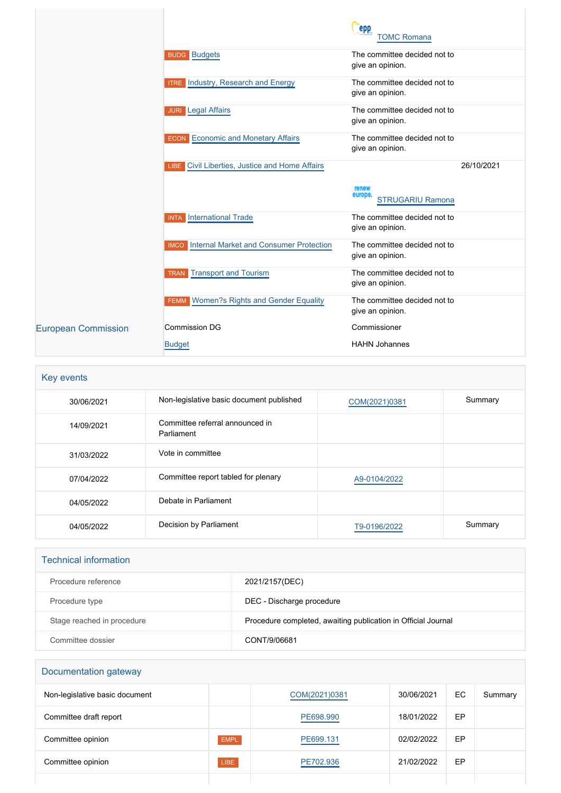|                            |                                                        | epp<br><b>TOMC Romana</b>                        |            |
|----------------------------|--------------------------------------------------------|--------------------------------------------------|------------|
|                            | <b>BUDG Budgets</b>                                    | The committee decided not to<br>give an opinion. |            |
|                            | <b>ITRE</b> Industry, Research and Energy              | The committee decided not to<br>give an opinion. |            |
|                            | <b>JURI</b> Legal Affairs                              | The committee decided not to<br>give an opinion. |            |
|                            | <b>ECON</b> Economic and Monetary Affairs              | The committee decided not to<br>give an opinion. |            |
|                            | LIBE Civil Liberties, Justice and Home Affairs         |                                                  | 26/10/2021 |
|                            |                                                        | renew<br>europe.<br><b>STRUGARIU Ramona</b>      |            |
|                            | <b>INTA</b> International Trade                        | The committee decided not to<br>give an opinion. |            |
|                            | Internal Market and Consumer Protection<br><b>IMCO</b> | The committee decided not to<br>give an opinion. |            |
|                            | <b>Transport and Tourism</b><br><b>TRAN</b>            | The committee decided not to<br>give an opinion. |            |
|                            | Women?s Rights and Gender Equality<br><b>FEMM</b>      | The committee decided not to<br>give an opinion. |            |
| <b>European Commission</b> | <b>Commission DG</b>                                   | Commissioner                                     |            |
|                            | <b>Budget</b>                                          | <b>HAHN Johannes</b>                             |            |

| Key events |                                               |               |         |
|------------|-----------------------------------------------|---------------|---------|
| 30/06/2021 | Non-legislative basic document published      | COM(2021)0381 | Summary |
| 14/09/2021 | Committee referral announced in<br>Parliament |               |         |
| 31/03/2022 | Vote in committee                             |               |         |
| 07/04/2022 | Committee report tabled for plenary           | A9-0104/2022  |         |
| 04/05/2022 | Debate in Parliament                          |               |         |
| 04/05/2022 | Decision by Parliament                        | T9-0196/2022  | Summary |

| <b>Technical information</b> |                                                               |
|------------------------------|---------------------------------------------------------------|
| Procedure reference          | 2021/2157(DEC)                                                |
| Procedure type               | DEC - Discharge procedure                                     |
| Stage reached in procedure   | Procedure completed, awaiting publication in Official Journal |
| Committee dossier            | CONT/9/06681                                                  |

# Documentation gateway Non-legislative basic document and the [COM\(2021\)0381](http://www.europarl.europa.eu/RegData/docs_autres_institutions/commission_europeenne/com/2021/0381/COM_COM(2021)0381_EN.pdf) 30/06/2021 EC Summary Committee draft report **[PE698.990](https://www.europarl.europa.eu/doceo/document/CONT-PR-698990_EN.html)** 18/01/2022 EP Committee opinion **EMPL** EMPL **[PE699.131](https://www.europarl.europa.eu/doceo/document/EMPL-AD-699131_EN.html)** 02/02/2022 EP Committee opinion **Committee opinion** LIBE **[PE702.936](https://www.europarl.europa.eu/doceo/document/LIBE-AD-702936_EN.html)** 21/02/2022 EP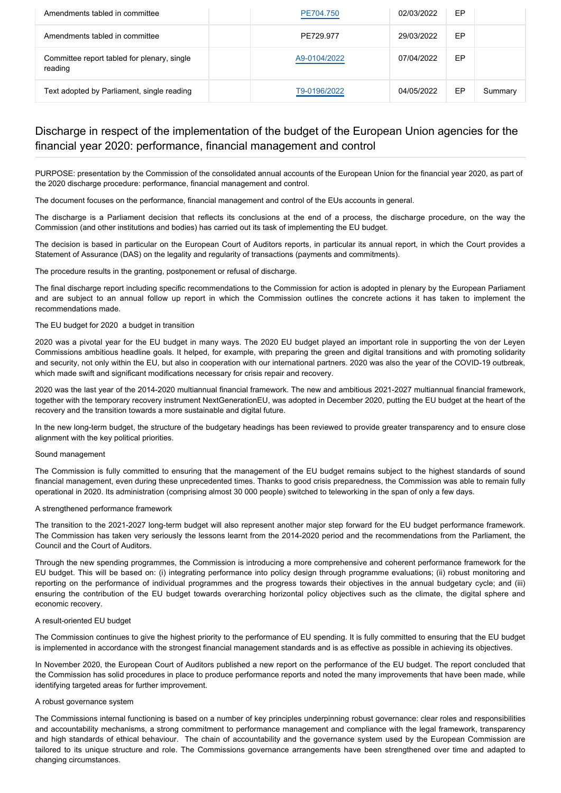| Amendments tabled in committee                         | PE704.750    | 02/03/2022 | EP |         |
|--------------------------------------------------------|--------------|------------|----|---------|
| Amendments tabled in committee                         | PE729.977    | 29/03/2022 | EP |         |
| Committee report tabled for plenary, single<br>reading | A9-0104/2022 | 07/04/2022 | EP |         |
| Text adopted by Parliament, single reading             | T9-0196/2022 | 04/05/2022 | ЕP | Summary |

### Discharge in respect of the implementation of the budget of the European Union agencies for the financial year 2020: performance, financial management and control

PURPOSE: presentation by the Commission of the consolidated annual accounts of the European Union for the financial year 2020, as part of the 2020 discharge procedure: performance, financial management and control.

The document focuses on the performance, financial management and control of the EUs accounts in general.

The discharge is a Parliament decision that reflects its conclusions at the end of a process, the discharge procedure, on the way the Commission (and other institutions and bodies) has carried out its task of implementing the EU budget.

The decision is based in particular on the European Court of Auditors reports, in particular its annual report, in which the Court provides a Statement of Assurance (DAS) on the legality and regularity of transactions (payments and commitments).

The procedure results in the granting, postponement or refusal of discharge.

The final discharge report including specific recommendations to the Commission for action is adopted in plenary by the European Parliament and are subject to an annual follow up report in which the Commission outlines the concrete actions it has taken to implement the recommendations made.

#### The EU budget for 2020 a budget in transition

2020 was a pivotal year for the EU budget in many ways. The 2020 EU budget played an important role in supporting the von der Leyen Commissions ambitious headline goals. It helped, for example, with preparing the green and digital transitions and with promoting solidarity and security, not only within the EU, but also in cooperation with our international partners. 2020 was also the year of the COVID-19 outbreak, which made swift and significant modifications necessary for crisis repair and recovery.

2020 was the last year of the 2014-2020 multiannual financial framework. The new and ambitious 2021-2027 multiannual financial framework, together with the temporary recovery instrument NextGenerationEU, was adopted in December 2020, putting the EU budget at the heart of the recovery and the transition towards a more sustainable and digital future.

In the new long-term budget, the structure of the budgetary headings has been reviewed to provide greater transparency and to ensure close alignment with the key political priorities.

#### Sound management

The Commission is fully committed to ensuring that the management of the EU budget remains subject to the highest standards of sound financial management, even during these unprecedented times. Thanks to good crisis preparedness, the Commission was able to remain fully operational in 2020. Its administration (comprising almost 30 000 people) switched to teleworking in the span of only a few days.

#### A strengthened performance framework

The transition to the 2021-2027 long-term budget will also represent another major step forward for the EU budget performance framework. The Commission has taken very seriously the lessons learnt from the 2014-2020 period and the recommendations from the Parliament, the Council and the Court of Auditors.

Through the new spending programmes, the Commission is introducing a more comprehensive and coherent performance framework for the EU budget. This will be based on: (i) integrating performance into policy design through programme evaluations; (ii) robust monitoring and reporting on the performance of individual programmes and the progress towards their objectives in the annual budgetary cycle; and (iii) ensuring the contribution of the EU budget towards overarching horizontal policy objectives such as the climate, the digital sphere and economic recovery.

#### A result-oriented EU budget

The Commission continues to give the highest priority to the performance of EU spending. It is fully committed to ensuring that the EU budget is implemented in accordance with the strongest financial management standards and is as effective as possible in achieving its objectives.

In November 2020, the European Court of Auditors published a new report on the performance of the EU budget. The report concluded that the Commission has solid procedures in place to produce performance reports and noted the many improvements that have been made, while identifying targeted areas for further improvement.

#### A robust governance system

The Commissions internal functioning is based on a number of key principles underpinning robust governance: clear roles and responsibilities and accountability mechanisms, a strong commitment to performance management and compliance with the legal framework, transparency and high standards of ethical behaviour. The chain of accountability and the governance system used by the European Commission are tailored to its unique structure and role. The Commissions governance arrangements have been strengthened over time and adapted to changing circumstances.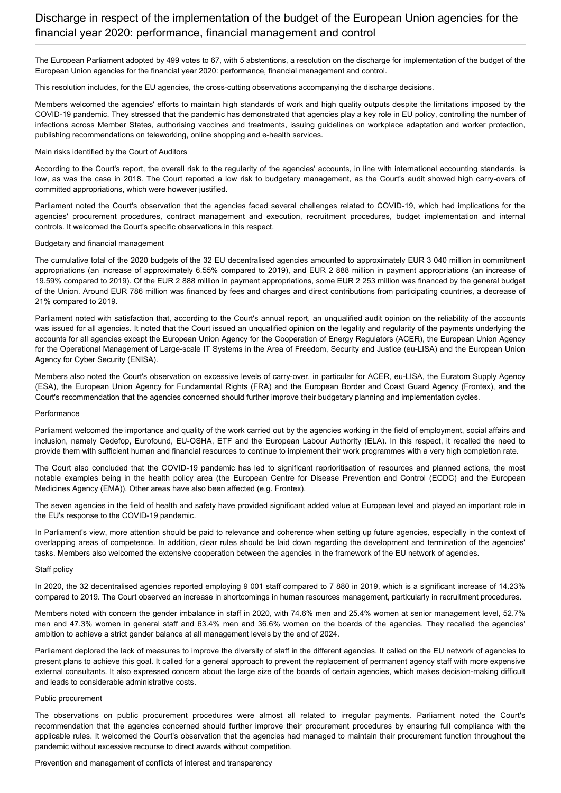The European Parliament adopted by 499 votes to 67, with 5 abstentions, a resolution on the discharge for implementation of the budget of the European Union agencies for the financial year 2020: performance, financial management and control.

This resolution includes, for the EU agencies, the cross-cutting observations accompanying the discharge decisions.

Members welcomed the agencies' efforts to maintain high standards of work and high quality outputs despite the limitations imposed by the COVID-19 pandemic. They stressed that the pandemic has demonstrated that agencies play a key role in EU policy, controlling the number of infections across Member States, authorising vaccines and treatments, issuing guidelines on workplace adaptation and worker protection, publishing recommendations on teleworking, online shopping and e-health services.

#### Main risks identified by the Court of Auditors

According to the Court's report, the overall risk to the regularity of the agencies' accounts, in line with international accounting standards, is low, as was the case in 2018. The Court reported a low risk to budgetary management, as the Court's audit showed high carry-overs of committed appropriations, which were however justified.

Parliament noted the Court's observation that the agencies faced several challenges related to COVID-19, which had implications for the agencies' procurement procedures, contract management and execution, recruitment procedures, budget implementation and internal controls. It welcomed the Court's specific observations in this respect.

#### Budgetary and financial management

The cumulative total of the 2020 budgets of the 32 EU decentralised agencies amounted to approximately EUR 3 040 million in commitment appropriations (an increase of approximately 6.55% compared to 2019), and EUR 2 888 million in payment appropriations (an increase of 19.59% compared to 2019). Of the EUR 2 888 million in payment appropriations, some EUR 2 253 million was financed by the general budget of the Union. Around EUR 786 million was financed by fees and charges and direct contributions from participating countries, a decrease of 21% compared to 2019.

Parliament noted with satisfaction that, according to the Court's annual report, an unqualified audit opinion on the reliability of the accounts was issued for all agencies. It noted that the Court issued an unqualified opinion on the legality and regularity of the payments underlying the accounts for all agencies except the European Union Agency for the Cooperation of Energy Regulators (ACER), the European Union Agency for the Operational Management of Large-scale IT Systems in the Area of Freedom, Security and Justice (eu-LISA) and the European Union Agency for Cyber Security (ENISA).

Members also noted the Court's observation on excessive levels of carry-over, in particular for ACER, eu-LISA, the Euratom Supply Agency (ESA), the European Union Agency for Fundamental Rights (FRA) and the European Border and Coast Guard Agency (Frontex), and the Court's recommendation that the agencies concerned should further improve their budgetary planning and implementation cycles.

#### Performance

Parliament welcomed the importance and quality of the work carried out by the agencies working in the field of employment, social affairs and inclusion, namely Cedefop, Eurofound, EU-OSHA, ETF and the European Labour Authority (ELA). In this respect, it recalled the need to provide them with sufficient human and financial resources to continue to implement their work programmes with a very high completion rate.

The Court also concluded that the COVID-19 pandemic has led to significant reprioritisation of resources and planned actions, the most notable examples being in the health policy area (the European Centre for Disease Prevention and Control (ECDC) and the European Medicines Agency (EMA)). Other areas have also been affected (e.g. Frontex).

The seven agencies in the field of health and safety have provided significant added value at European level and played an important role in the EU's response to the COVID-19 pandemic.

In Parliament's view, more attention should be paid to relevance and coherence when setting up future agencies, especially in the context of overlapping areas of competence. In addition, clear rules should be laid down regarding the development and termination of the agencies' tasks. Members also welcomed the extensive cooperation between the agencies in the framework of the EU network of agencies.

#### Staff policy

In 2020, the 32 decentralised agencies reported employing 9 001 staff compared to 7 880 in 2019, which is a significant increase of 14.23% compared to 2019. The Court observed an increase in shortcomings in human resources management, particularly in recruitment procedures.

Members noted with concern the gender imbalance in staff in 2020, with 74.6% men and 25.4% women at senior management level, 52.7% men and 47.3% women in general staff and 63.4% men and 36.6% women on the boards of the agencies. They recalled the agencies' ambition to achieve a strict gender balance at all management levels by the end of 2024.

Parliament deplored the lack of measures to improve the diversity of staff in the different agencies. It called on the EU network of agencies to present plans to achieve this goal. It called for a general approach to prevent the replacement of permanent agency staff with more expensive external consultants. It also expressed concern about the large size of the boards of certain agencies, which makes decision-making difficult and leads to considerable administrative costs.

#### Public procurement

The observations on public procurement procedures were almost all related to irregular payments. Parliament noted the Court's recommendation that the agencies concerned should further improve their procurement procedures by ensuring full compliance with the applicable rules. It welcomed the Court's observation that the agencies had managed to maintain their procurement function throughout the pandemic without excessive recourse to direct awards without competition.

#### Prevention and management of conflicts of interest and transparency